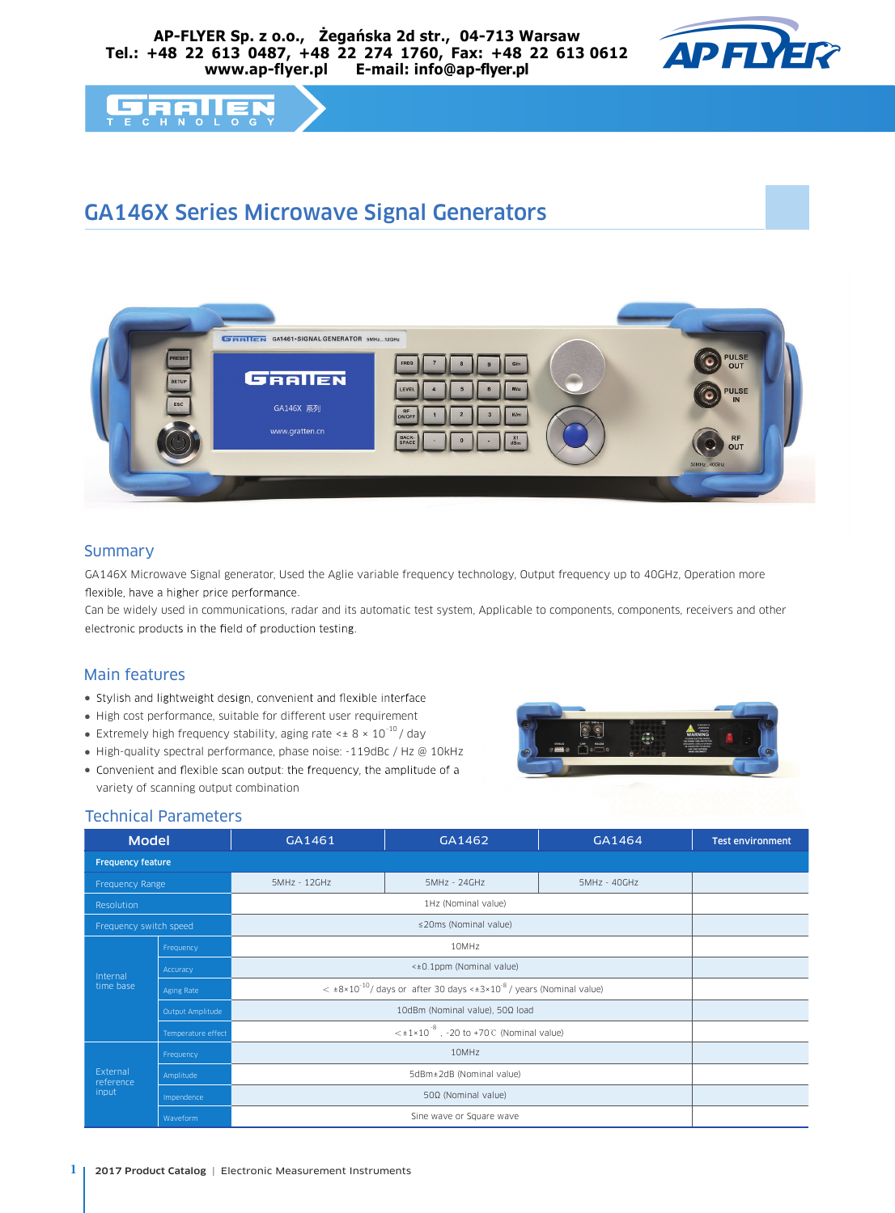#### **AP-FLYER Sp. z o.o., Żegańska 2d str., 04-713 Warsaw Tel.: +48 22 613 0487, +48 22 274 1760, Fax: +48 22 613 0612 www.ap-flyer.pl E-mail: info@ap-flyer.pl**



#### **FERRIE**  $T$  E

# GA146X Series Microwave Signal Generators



## **Summary**

GA146X Microwave Signal generator, Used the Aglie variable frequency technology, Output frequency up to 40GHz, Operation more flexible, have a higher price performance.

Can be widely used in communications, radar and its automatic test system, Applicable to components, components, receivers and other electronic products in the field of production testing.

### Main features

- Stylish and lightweight design, convenient and flexible interface
- High cost performance, suitable for different user requirement
- Extremely high frequency stability, aging rate  $\leq \pm 8 \times 10^{-10}$ / day
- High-quality spectral performance, phase noise: -119dBc / Hz @ 10kHz
- Convenient and flexible scan output: the frequency, the amplitude of a variety of scanning output combination



### Technical Parameters

| <b>Model</b>                   |                    | GA1461                                                                                               | GA1462       | GA1464       | <b>Test environment</b> |
|--------------------------------|--------------------|------------------------------------------------------------------------------------------------------|--------------|--------------|-------------------------|
| <b>Frequency feature</b>       |                    |                                                                                                      |              |              |                         |
| Frequency Range                |                    | 5MHz - 12GHz                                                                                         | 5MHz - 24GHz | 5MHz - 40GHz |                         |
| Resolution                     |                    |                                                                                                      |              |              |                         |
| Frequency switch speed         |                    |                                                                                                      |              |              |                         |
| Internal<br>time base          | Frequency          |                                                                                                      |              |              |                         |
|                                | Accuracy           |                                                                                                      |              |              |                         |
|                                | Aging Rate         | $\epsilon$ ±8×10 <sup>-10</sup> / days or after 30 days <±3×10 <sup>-8</sup> / years (Nominal value) |              |              |                         |
|                                | Output Amplitude   |                                                                                                      |              |              |                         |
|                                | Temperature effect |                                                                                                      |              |              |                         |
| External<br>reference<br>input | Frequency          |                                                                                                      |              |              |                         |
|                                | Amplitude          |                                                                                                      |              |              |                         |
|                                | Impendence         |                                                                                                      |              |              |                         |
|                                | Waveform           |                                                                                                      |              |              |                         |